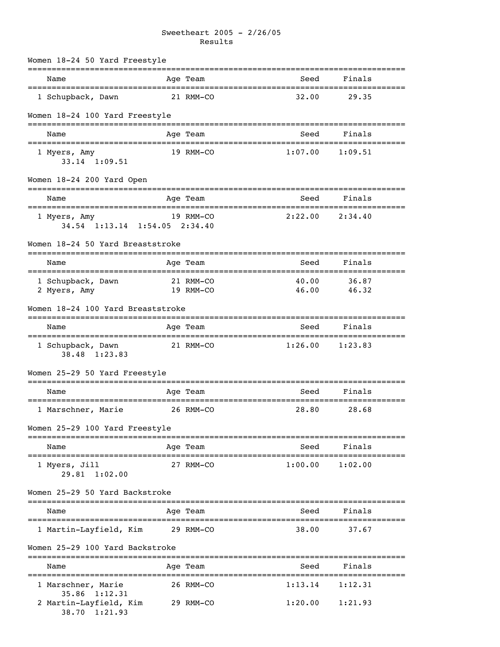# Sweetheart 2005 - 2/26/05 Results

|      | Women 18-24 50 Yard Freestyle                                  |                  |                                    |                                              |                                |  |
|------|----------------------------------------------------------------|------------------|------------------------------------|----------------------------------------------|--------------------------------|--|
| Name |                                                                |                  | Age Team                           | Seed                                         | Finals                         |  |
|      | 1 Schupback, Dawn                                              |                  | 21 RMM-CO                          | 32.00                                        | 29.35                          |  |
|      | Women 18-24 100 Yard Freestyle                                 |                  |                                    |                                              |                                |  |
| Name |                                                                | ================ | Age Team                           | Seed                                         | Finals                         |  |
|      | ;==========================<br>1 Myers, Amy<br>$33.14$ 1:09.51 |                  | 19 RMM-CO                          | 1:07.00                                      | 1:09.51                        |  |
|      | Women 18-24 200 Yard Open                                      |                  |                                    |                                              |                                |  |
| Name |                                                                |                  | Age Team                           | Seed                                         | Finals                         |  |
|      | 1 Myers, Amy<br>34.54 1:13.14 1:54.05 2:34.40                  |                  | 19 RMM-CO                          | 2:22.00                                      | 2:34.40                        |  |
|      | Women 18-24 50 Yard Breaststroke                               |                  |                                    |                                              |                                |  |
| Name | ===================================                            |                  | Age Team<br>:===================== | Seed                                         | Finals<br>==================== |  |
|      | 1 Schupback, Dawn<br>2 Myers, Amy                              |                  | 21 RMM-CO<br>19 RMM-CO             | 40.00<br>46.00                               | 36.87<br>46.32                 |  |
|      | Women 18-24 100 Yard Breaststroke                              |                  |                                    |                                              |                                |  |
| Name |                                                                |                  | Age Team<br>:==================    | Seed<br>=================================    | Finals                         |  |
|      | 1 Schupback, Dawn<br>38.48 1:23.83                             |                  | 21 RMM-CO                          | 1:26.00                                      | 1:23.83                        |  |
|      | Women 25-29 50 Yard Freestyle                                  |                  |                                    |                                              |                                |  |
| Name |                                                                |                  | Age Team                           | Seed                                         | Finals                         |  |
|      | 1 Marschner, Marie                                             |                  | 26 RMM-CO                          | 28.80                                        | 28.68                          |  |
|      | Women 25-29 100 Yard Freestyle                                 |                  |                                    |                                              |                                |  |
| Name |                                                                |                  | Age Team                           | Seed                                         | Finals                         |  |
|      | 1 Myers, Jill<br>29.81 1:02.00                                 |                  | 27 RMM-CO                          | 1:00.00                                      | 1:02.00                        |  |
|      | Women 25-29 50 Yard Backstroke                                 |                  |                                    |                                              |                                |  |
| Name | ____________________________                                   |                  | ---------<br>Age Team              | Seed                                         | Finals                         |  |
|      | 1 Martin-Layfield, Kim                                         |                  | 29 RMM-CO                          | 38.00                                        | 37.67                          |  |
|      | Women 25-29 100 Yard Backstroke                                |                  |                                    |                                              |                                |  |
| Name | ==============================                                 |                  | Age Team                           | Seed                                         | =========<br>Finals            |  |
|      | ========================<br>1 Marschner, Marie                 |                  | :================<br>26 RMM-CO     | :================================<br>1:13.14 | 1:12.31                        |  |
|      | $35.86$ $1:12.31$<br>2 Martin-Layfield, Kim<br>38.70 1:21.93   |                  | 29 RMM-CO                          | 1:20.00                                      | 1:21.93                        |  |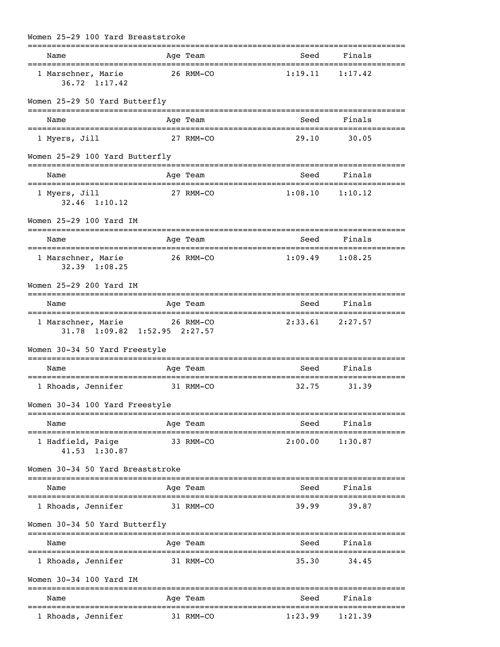| Women 25-29 100 Yard Breaststroke                             |                         |                                       |                                |
|---------------------------------------------------------------|-------------------------|---------------------------------------|--------------------------------|
| Name                                                          | Age Team                | Seed                                  | Finals                         |
| 1 Marschner, Marie<br>36.72 1:17.42                           | 26 RMM-CO               | 1:19.11                               | 1:17.42                        |
| Women 25-29 50 Yard Butterfly                                 |                         |                                       |                                |
| Name                                                          | Age Team<br>----------- | Seed<br>============================= | Finals                         |
| 1 Myers, Jill                                                 | 27 RMM-CO               | 29.10                                 | 30.05                          |
| Women 25-29 100 Yard Butterfly                                |                         |                                       |                                |
| Name                                                          | Age Team                | Seed                                  | Finals                         |
| 1 Myers, Jill<br>$32.46$ 1:10.12                              | 27 RMM-CO               | 1:08.10                               | 1:10.12                        |
| Women 25-29 100 Yard IM                                       |                         | ====================================  |                                |
| Name<br>=====================================                 | Age Team                | Seed<br>========================      | Finals<br>:=================== |
| 1 Marschner, Marie<br>$32.39$ $1:08.25$                       | 26 RMM-CO               | 1:09.49                               | 1:08.25                        |
| Women 25-29 200 Yard IM                                       |                         |                                       |                                |
| Name                                                          | Age Team                | Seed                                  | Finals                         |
| 1 Marschner, Marie 26 RMM-CO<br>31.78 1:09.82 1:52.95 2:27.57 |                         |                                       | $2:33.61$ $2:27.57$            |
| Women 30-34 50 Yard Freestyle                                 |                         |                                       |                                |
| Name                                                          | Age Team                | Seed                                  | Finals                         |
| 1 Rhoads, Jennifer                                            | 31 RMM-CO               | 32.75                                 | 31.39                          |
| Women 30-34 100 Yard Freestyle                                |                         |                                       |                                |
| Name                                                          | Age Team                | Seed                                  | Finals                         |
| 1 Hadfield, Paige<br>41.53 1:30.87                            | 33 RMM-CO               | 2:00.00                               | 1:30.87                        |
| Women 30-34 50 Yard Breaststroke                              |                         |                                       |                                |
| Name                                                          | Age Team                | Seed                                  | Finals                         |
| 1 Rhoads, Jennifer                                            | 31 RMM-CO               | 39.99                                 | 39.87                          |
| Women 30-34 50 Yard Butterfly                                 |                         |                                       |                                |
| Name                                                          | Age Team                | :===========<br>Seed                  | ====================<br>Finals |
| 1 Rhoads, Jennifer                                            | 31 RMM-CO               | 35.30                                 | 34.45                          |
| Women 30-34 100 Yard IM                                       |                         |                                       |                                |

| Name               | Age Team  | Seed    | Finals  |
|--------------------|-----------|---------|---------|
| . Rhoads, Jennifer | 31 RMM-CO | 1:23.99 | 1:21.39 |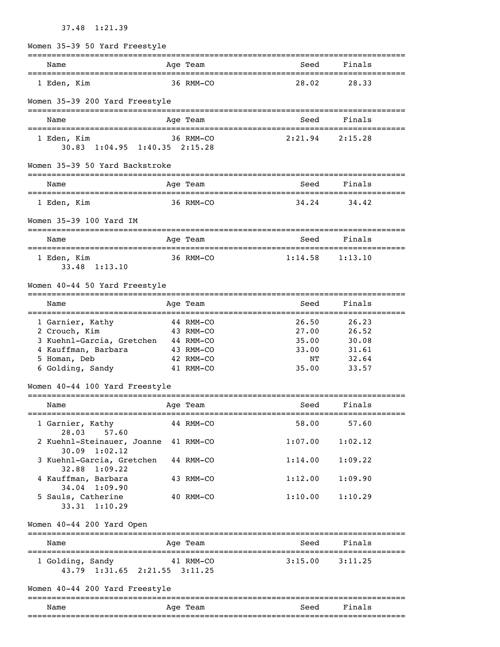# 37.48 1:21.39

| Women 35-39 50 Yard Freestyle                                                                                                       |           |                                                  |                                                 |                                                    |  |
|-------------------------------------------------------------------------------------------------------------------------------------|-----------|--------------------------------------------------|-------------------------------------------------|----------------------------------------------------|--|
| Name                                                                                                                                |           | Age Team                                         | Seed                                            | Finals                                             |  |
| 1 Eden, Kim                                                                                                                         |           | 36 RMM-CO                                        | 28.02                                           | 28.33                                              |  |
| Women 35-39 200 Yard Freestyle                                                                                                      |           |                                                  |                                                 |                                                    |  |
| Name                                                                                                                                |           | Age Team                                         | Seed                                            | Finals                                             |  |
| 1 Eden, Kim<br>30.83 1:04.95 1:40.35 2:15.28                                                                                        |           | 36 RMM-CO                                        | 2:21.94                                         | 2:15.28                                            |  |
| Women 35-39 50 Yard Backstroke                                                                                                      |           |                                                  |                                                 |                                                    |  |
| Name                                                                                                                                |           | Age Team                                         | Seed                                            | Finals                                             |  |
| 1 Eden, Kim                                                                                                                         |           | 36 RMM-CO                                        | 34.24                                           | 34.42                                              |  |
| Women 35-39 100 Yard IM                                                                                                             |           |                                                  |                                                 |                                                    |  |
| Name                                                                                                                                |           | Age Team                                         | Seed                                            | Finals                                             |  |
| 1 Eden, Kim<br>33.48 1:13.10                                                                                                        |           | 36 RMM-CO                                        | 1:14.58                                         | 1:13.10                                            |  |
| Women 40-44 50 Yard Freestyle                                                                                                       |           |                                                  |                                                 |                                                    |  |
| Name                                                                                                                                |           | Age Team<br>=================                    | Seed                                            | Finals<br>================================         |  |
| 1 Garnier, Kathy<br>2 Crouch, Kim<br>3 Kuehnl-Garcia, Gretchen 44 RMM-CO<br>4 Kauffman, Barbara<br>5 Homan, Deb<br>6 Golding, Sandy | 43 RMM-CO | 44 RMM-CO<br>43 RMM-CO<br>42 RMM-CO<br>41 RMM-CO | 26.50<br>27.00<br>35.00<br>33.00<br>NT<br>35.00 | 26.23<br>26.52<br>30.08<br>31.61<br>32.64<br>33.57 |  |
| Women 40-44 100 Yard Freestyle                                                                                                      |           |                                                  |                                                 |                                                    |  |
| Name                                                                                                                                | Age Team  |                                                  |                                                 | Seed Finals                                        |  |
| 1 Garnier, Kathy<br>28.03 57.60                                                                                                     |           | 44 RMM-CO                                        | 58.00                                           | 57.60                                              |  |
| 2 Kuehnl-Steinauer, Joanne 41 RMM-CO<br>$30.09$ 1:02.12                                                                             |           |                                                  | 1:07.00                                         | 1:02.12                                            |  |
| 3 Kuehnl-Garcia, Gretchen 44 RMM-CO<br>32.88 1:09.22                                                                                |           |                                                  | 1:14.00                                         | 1:09.22                                            |  |
| 4 Kauffman, Barbara                                                                                                                 |           | 43 RMM-CO                                        | 1:12.00                                         | 1:09.90                                            |  |
| 34.04 1:09.90<br>5 Sauls, Catherine<br>33.31 1:10.29                                                                                |           | 40 RMM-CO                                        | 1:10.00                                         | 1:10.29                                            |  |
| Women 40-44 200 Yard Open                                                                                                           |           |                                                  |                                                 |                                                    |  |
| Name                                                                                                                                |           | Age Team                                         | Seed                                            | Finals                                             |  |
| 1 Golding, Sandy 41 RMM-CO<br>43.79 1:31.65 2:21.55 3:11.25                                                                         |           |                                                  |                                                 | $3:15.00$ $3:11.25$                                |  |
| Women 40-44 200 Yard Freestyle                                                                                                      |           |                                                  |                                                 |                                                    |  |
| Name                                                                                                                                |           | Age Team                                         | Seed                                            | Finals                                             |  |
|                                                                                                                                     |           |                                                  |                                                 |                                                    |  |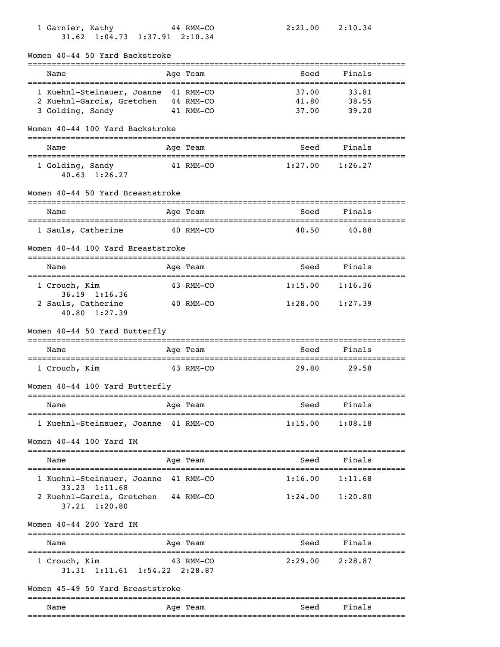| 1 Garnier, Kathy<br>31.62 1:04.73 1:37.91 2:10.34                        | 44 RMM-CO | 2:21.00 | 2:10.34                      |
|--------------------------------------------------------------------------|-----------|---------|------------------------------|
| Women 40-44 50 Yard Backstroke                                           |           |         |                              |
| Name                                                                     | Age Team  | Seed    | Finals                       |
| 1 Kuehnl-Steinauer, Joanne 41 RMM-CO                                     |           | 37.00   | 33.81                        |
| 2 Kuehnl-Garcia, Gretchen 44 RMM-CO                                      | 41 RMM-CO | 41.80   | 38.55<br>39.20               |
| 3 Golding, Sandy                                                         |           | 37.00   |                              |
| Women 40-44 100 Yard Backstroke                                          |           |         |                              |
| Name                                                                     | Age Team  | Seed    | Finals                       |
| 1 Golding, Sandy<br>$40.63$ 1:26.27                                      | 41 RMM-CO | 1:27.00 | 1:26.27                      |
| Women 40-44 50 Yard Breaststroke                                         |           |         |                              |
| Name                                                                     | Age Team  | Seed    | Finals                       |
| 1 Sauls, Catherine<br>40 RMM-CO                                          |           | 40.50   | 40.88                        |
| Women 40-44 100 Yard Breaststroke                                        |           |         |                              |
| Name                                                                     | Age Team  | Seed    | Finals                       |
| 1 Crouch, Kim                                                            | 43 RMM-CO | 1:15.00 | 1:16.36                      |
| $36.19$ 1:16.36<br>2 Sauls, Catherine<br>40.80 1:27.39                   | 40 RMM-CO | 1:28.00 | 1:27.39                      |
| Women 40-44 50 Yard Butterfly                                            |           |         |                              |
| Name                                                                     | Age Team  | Seed    | ==================<br>Finals |
|                                                                          | 43 RMM-CO | 29.80   | 29.58                        |
| 1 Crouch, Kim                                                            |           |         |                              |
| Women 40-44 100 Yard Butterfly                                           |           |         |                              |
| Name<br>======================                                           | Age Team  | Seed    | Finals                       |
| 1 Kuehnl-Steinauer, Joanne 41 RMM-CO                                     |           | 1:15.00 | 1:08.18                      |
| Women 40-44 100 Yard IM                                                  |           |         |                              |
| Name                                                                     | Age Team  | Seed    | Finals                       |
| 1 Kuehnl-Steinauer, Joanne 41 RMM-CO                                     |           | 1:16.00 | 1:11.68                      |
| 33.23 1:11.68<br>2 Kuehnl-Garcia, Gretchen 44 RMM-CO<br>37.21<br>1:20.80 |           | 1:24.00 | 1:20.80                      |
| Women 40-44 200 Yard IM                                                  |           |         |                              |
| Name                                                                     | Age Team  | Seed    | Finals                       |
| 1 Crouch, Kim<br>31.31 1:11.61 1:54.22 2:28.87                           | 43 RMM-CO | 2:29.00 | 2:28.87                      |
| Women 45-49 50 Yard Breaststroke                                         |           |         |                              |
| Name                                                                     | Age Team  | Seed    | Finals                       |
|                                                                          |           |         |                              |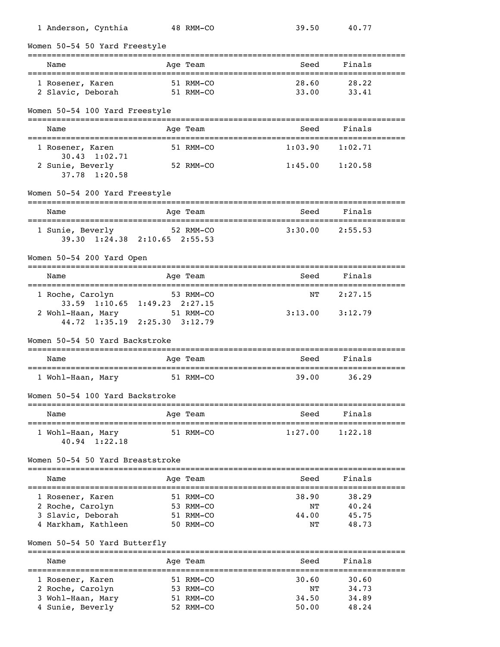| 1 Anderson, Cynthia                                               |               | 48 RMM-CO                | 39.50                            | 40.77                   |           |
|-------------------------------------------------------------------|---------------|--------------------------|----------------------------------|-------------------------|-----------|
| Women 50-54 50 Yard Freestyle                                     |               |                          |                                  |                         |           |
| Name                                                              |               | Age Team                 | Seed                             | Finals                  |           |
| 1 Rosener, Karen                                                  |               | 51 RMM-CO                | 28.60                            | 28.22                   |           |
| 2 Slavic, Deborah                                                 |               | 51 RMM-CO                | 33.00                            | 33.41                   |           |
| Women 50-54 100 Yard Freestyle<br>=============================== |               | ------------             |                                  |                         |           |
| Name                                                              |               | Age Team                 | Seed                             | Finals                  |           |
| 1 Rosener, Karen                                                  |               | 51 RMM-CO                | 1:03.90                          | 1:02.71                 |           |
| 30.43 1:02.71                                                     |               |                          |                                  |                         |           |
| 2 Sunie, Beverly<br>37.78 1:20.58                                 |               | 52 RMM-CO                | 1:45.00                          | 1:20.58                 |           |
|                                                                   |               |                          |                                  |                         |           |
| Women 50-54 200 Yard Freestyle                                    |               |                          |                                  |                         |           |
| Name                                                              |               | Age Team                 | Seed                             | Finals                  |           |
| 1 Sunie, Beverly                                                  |               | 52 RMM-CO                | 3:30.00                          | 2:55.53                 |           |
| 39.30 1:24.38 2:10.65 2:55.53                                     |               |                          |                                  |                         |           |
|                                                                   |               |                          |                                  |                         |           |
| Women 50-54 200 Yard Open<br>:============================        |               |                          |                                  |                         |           |
| Name                                                              |               | Age Team                 | Seed<br>---------------------    | Finals                  |           |
| ======================================<br>1 Roche, Carolyn        |               | 53 RMM-CO                | NΤ                               | 2:27.15                 |           |
| 33.59 1:10.65 1:49.23 2:27.15                                     |               |                          |                                  |                         |           |
| 2 Wohl-Haan, Mary 51 RMM-CO<br>44.72 1:35.19 2:25.30 3:12.79      |               |                          | 3:13.00                          | 3:12.79                 |           |
|                                                                   |               |                          |                                  |                         |           |
| Women 50-54 50 Yard Backstroke                                    |               |                          |                                  |                         |           |
| Name<br>==================================                        |               | Age Team                 | Seed<br>:===========             | Finals                  |           |
| 1 Wohl-Haan, Mary                                                 |               | 51 RMM-CO                | 39.00                            | 36.29                   |           |
| Women 50-54 100 Yard Backstroke                                   |               |                          |                                  |                         |           |
|                                                                   |               |                          |                                  |                         |           |
| Name                                                              |               | Age Team                 | Seed                             | Finals                  | ========= |
| 1 Wohl-Haan, Mary                                                 |               | 51 RMM-CO                | 1:27.00                          | 1:22.18                 |           |
| $40.94$ 1:22.18                                                   |               |                          |                                  |                         |           |
| Women 50-54 50 Yard Breaststroke                                  |               |                          |                                  |                         |           |
| ---------------------------<br>Name                               |               | ============<br>Age Team | Seed                             | -------------<br>Finals |           |
| --------------                                                    | ------------- |                          | ________________________________ |                         |           |
| 1 Rosener, Karen                                                  |               | 51 RMM-CO                | 38.90                            | 38.29                   |           |
| 2 Roche, Carolyn<br>3 Slavic, Deborah                             |               | 53 RMM-CO                | ΝT<br>44.00                      | 40.24<br>45.75          |           |
| 4 Markham, Kathleen                                               |               | 51 RMM-CO<br>50 RMM-CO   | ΝT                               | 48.73                   |           |
|                                                                   |               |                          |                                  |                         |           |
| Women 50-54 50 Yard Butterfly                                     |               |                          | ------------------------         |                         |           |
| Name                                                              |               | Age Team                 | Seed                             | Finals                  |           |
| 1 Rosener, Karen                                                  |               | 51 RMM-CO                | 30.60                            | 30.60                   |           |
| 2 Roche, Carolyn                                                  |               | 53 RMM-CO                | ΝT                               | 34.73                   |           |

 3 Wohl-Haan, Mary 51 RMM-CO 34.50 34.89 4 Sunie, Beverly 52 RMM-CO 50.00 48.24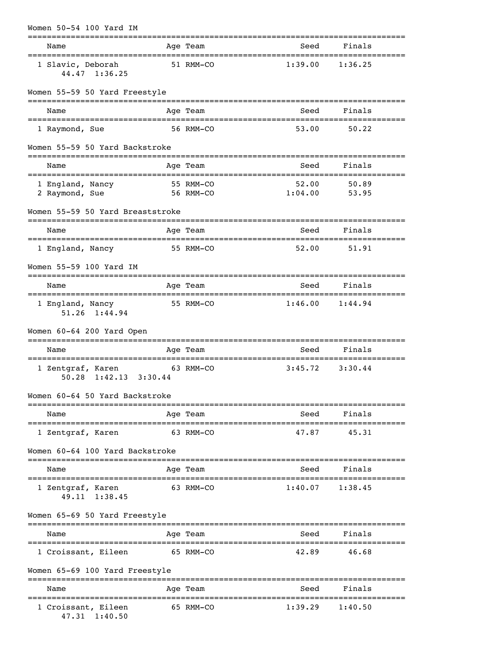| Women 50-54 100 Yard IM                           |             |                        |                                   |                      |
|---------------------------------------------------|-------------|------------------------|-----------------------------------|----------------------|
| Name                                              | ----------- | Age Team               | Seed                              | Finals               |
| 1 Slavic, Deborah<br>44.47 1:36.25                |             | 51 RMM-CO              | 1:39.00                           | 1:36.25              |
| Women 55-59 50 Yard Freestyle                     |             |                        |                                   |                      |
| Name                                              |             | Age Team               | Seed                              | Finals               |
| 1 Raymond, Sue                                    |             | 56 RMM-CO              | 53.00                             | 50.22                |
| Women 55-59 50 Yard Backstroke                    |             |                        |                                   | ----------------     |
| Name<br>=================================         |             | Age Team               | Seed<br>=========                 | Finals<br>.          |
| 1 England, Nancy<br>2 Raymond, Sue                |             | 55 RMM-CO<br>56 RMM-CO | 52.00<br>1:04.00                  | 50.89<br>53.95       |
| Women 55-59 50 Yard Breaststroke                  |             |                        |                                   |                      |
| Name                                              |             | Age Team               | Seed                              | Finals               |
| 1 England, Nancy                                  |             | 55 RMM-CO              | 52.00                             | 51.91                |
| Women 55-59 100 Yard IM                           |             |                        |                                   |                      |
| Name                                              |             | Age Team               | Seed                              | Finals               |
| 1 England, Nancy<br>51.26 1:44.94                 |             | 55 RMM-CO              | 1:46.00                           | =========<br>1:44.94 |
| Women 60-64 200 Yard Open                         |             |                        |                                   |                      |
| Name                                              |             | Age Team               | Seed                              | Finals               |
| 1 Zentgraf, Karen<br>$1:42.13$ $3:30.44$<br>50.28 |             | 63 RMM-CO              | 3:45.72                           | 3:30.44              |
| Women 60–64 50 Yard Backstroke                    |             |                        |                                   |                      |
| Name                                              |             | Age Team               | Seed                              | Finals               |
| ===========================<br>1 Zentgraf, Karen  |             | 63 RMM-CO              | 47.87                             | 45.31                |
| Women 60-64 100 Yard Backstroke                   |             |                        |                                   |                      |
| Name                                              |             | Age Team               | Seed                              | Finals               |
| 1 Zentgraf, Karen<br>49.11 1:38.45                |             | 63 RMM-CO              | 1:40.07                           | 1:38.45              |
| Women 65-69 50 Yard Freestyle                     |             |                        |                                   |                      |
| Name                                              |             | Age Team               | Seed                              | Finals               |
| 1 Croissant, Eileen                               |             | 65 RMM-CO              | ========================<br>42.89 | ===========<br>46.68 |
| Women 65-69 100 Yard Freestyle                    |             |                        |                                   |                      |
| Name                                              |             | Age Team               | Seed                              | Finals               |
| 1 Croissant, Eileen<br>47.31 1:40.50              |             | 65 RMM-CO              | 1:39.29                           | 1:40.50              |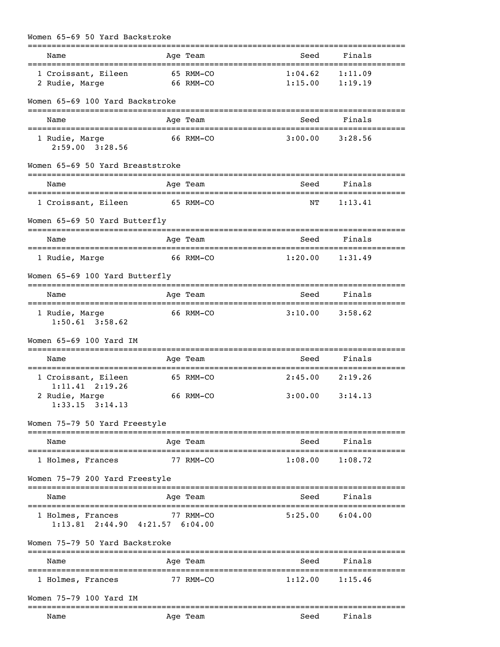| Women 65-69 50 Yard Backstroke                               |                  |                        |                                            |                          |  |
|--------------------------------------------------------------|------------------|------------------------|--------------------------------------------|--------------------------|--|
| Name                                                         |                  | Age Team               | Seed                                       | Finals                   |  |
| 1 Croissant, Eileen<br>2 Rudie, Marge                        |                  | 65 RMM-CO<br>66 RMM-CO | 1:04.62<br>1:15.00                         | 1:11.09<br>1:19.19       |  |
| Women 65-69 100 Yard Backstroke                              | ================ |                        |                                            |                          |  |
| Name                                                         |                  | Age Team               | Seed<br>===============================    | Finals                   |  |
| 1 Rudie, Marge<br>$2:59.00$ $3:28.56$                        |                  | 66 RMM-CO              | 3:00.00                                    | 3:28.56                  |  |
| Women 65-69 50 Yard Breaststroke                             |                  |                        |                                            |                          |  |
| Name                                                         |                  | Age Team               | Seed                                       | Finals                   |  |
| 1 Croissant, Eileen                                          |                  | 65 RMM-CO              | NΤ                                         | 1:13.41                  |  |
| Women 65-69 50 Yard Butterfly                                |                  |                        |                                            |                          |  |
| Name<br>====================================                 |                  | Age Team               | Seed                                       | Finals                   |  |
| 1 Rudie, Marge                                               |                  | 66 RMM-CO              | 1:20.00                                    | 1:31.49                  |  |
| Women 65-69 100 Yard Butterfly                               |                  |                        |                                            |                          |  |
| Name                                                         |                  | Age Team               | Seed                                       | Finals                   |  |
| 1 Rudie, Marge<br>$1:50.61$ $3:58.62$                        |                  | 66 RMM-CO              |                                            | $3:10.00$ $3:58.62$      |  |
| Women 65-69 100 Yard IM                                      |                  |                        |                                            |                          |  |
| Name                                                         |                  | Age Team               | Seed                                       | Finals                   |  |
| 1 Croissant, Eileen                                          |                  | 65 RMM-CO              | 2:45.00                                    | 2:19.26                  |  |
| $1:11.41$ $2:19.26$<br>2 Rudie, Marge<br>$1:33.15$ $3:14.13$ |                  | 66 RMM-CO              |                                            | $3:00.00$ $3:14.13$      |  |
| Women 75-79 50 Yard Freestyle                                |                  |                        |                                            |                          |  |
| Name                                                         |                  | Age Team               | Seed                                       | Finals                   |  |
| 1 Holmes, Frances                                            |                  | 77 RMM-CO              | 1:08.00                                    | 1:08.72                  |  |
| Women 75-79 200 Yard Freestyle                               |                  |                        |                                            |                          |  |
| Name                                                         |                  | Age Team               | Seed                                       | --------------<br>Finals |  |
| 1 Holmes, Frances<br>$1:13.81$ $2:44.90$ $4:21.57$ $6:04.00$ |                  | 77 RMM-CO              | ===============================<br>5:25.00 | 6:04.00                  |  |
| Women 75-79 50 Yard Backstroke                               |                  |                        |                                            |                          |  |
| Name                                                         |                  | Age Team               | Seed                                       | Finals                   |  |
| 1 Holmes, Frances                                            |                  | 77 RMM-CO              | 1:12.00                                    | 1:15.46                  |  |
| Women 75-79 100 Yard IM                                      |                  |                        |                                            |                          |  |
| Name                                                         |                  | Age Team               | Seed                                       | Finals                   |  |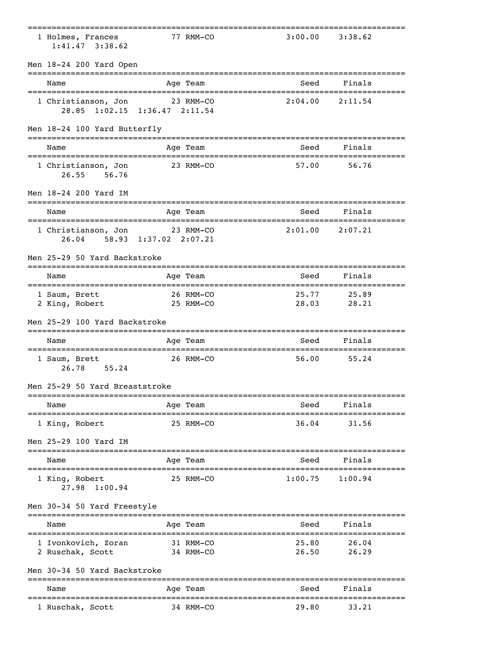|                                                                |                       |                                           | ===============================            |                                            |  |
|----------------------------------------------------------------|-----------------------|-------------------------------------------|--------------------------------------------|--------------------------------------------|--|
| 1 Holmes, Frances<br>$1:41.47$ $3:38.62$                       |                       | 77 RMM-CO                                 |                                            | $3:00.00$ $3:38.62$                        |  |
| Men 18-24 200 Yard Open                                        |                       |                                           |                                            | -------------------                        |  |
| Name                                                           |                       | Age Team                                  | Seed                                       | Finals                                     |  |
| 1 Christianson, Jon 23 RMM-CO<br>28.85 1:02.15 1:36.47 2:11.54 |                       |                                           | 2:04.00                                    | 2:11.54                                    |  |
| Men 18-24 100 Yard Butterfly                                   |                       |                                           |                                            |                                            |  |
| Name                                                           |                       | Age Team                                  | Seed                                       | Finals                                     |  |
| 1 Christianson, Jon<br>26.55<br>56.76                          |                       | 23 RMM-CO                                 | 57.00                                      | 56.76                                      |  |
| Men 18-24 200 Yard IM                                          |                       |                                           |                                            |                                            |  |
| Name<br>======================                                 |                       | Age Team<br>============================= | Seed                                       | Finals<br>================================ |  |
| 1 Christianson, Jon 23 RMM-CO<br>26.04                         | 58.93 1:37.02 2:07.21 |                                           |                                            | $2:01.00$ $2:07.21$                        |  |
| Men 25-29 50 Yard Backstroke                                   |                       |                                           |                                            |                                            |  |
| Name                                                           |                       | Age Team                                  | Seed                                       | Finals                                     |  |
| 1 Saum, Brett<br>2 King, Robert                                | 25 RMM-CO             | 26 RMM-CO                                 | 25.77<br>28.03                             | 25.89<br>28.21                             |  |
| Men 25-29 100 Yard Backstroke                                  |                       |                                           |                                            |                                            |  |
| Name                                                           |                       | Age Team                                  | Seed                                       | Finals                                     |  |
| 1 Saum, Brett<br>26.78<br>55.24                                |                       | 26 RMM-CO                                 | 56.00                                      | 55.24                                      |  |
| Men 25-29 50 Yard Breaststroke                                 |                       |                                           |                                            |                                            |  |
| Name<br>======================================                 |                       | Age Team                                  | Seed<br>================================== | Finals<br>=========                        |  |
| 1 King, Robert                                                 |                       | 25 RMM-CO                                 | 36.04                                      | 31.56                                      |  |
| Men 25-29 100 Yard IM                                          |                       |                                           |                                            |                                            |  |
| Name                                                           |                       | Age Team                                  | -------------------<br>Seed                | ----------------<br>Finals                 |  |
| --------------<br>1 King, Robert<br>27.98 1:00.94              |                       | 25 RMM-CO                                 | 1:00.75                                    | 1:00.94                                    |  |
| Men 30-34 50 Yard Freestyle                                    |                       |                                           |                                            |                                            |  |
| Name                                                           |                       | Age Team                                  | Seed                                       | Finals                                     |  |
| 1 Ivonkovich, Zoran<br>2 Ruschak, Scott                        |                       | 31 RMM-CO<br>34 RMM-CO                    | 25.80<br>26.50                             | 26.04<br>26.29                             |  |
| Men 30-34 50 Yard Backstroke                                   |                       |                                           |                                            |                                            |  |
| Name                                                           |                       | ========<br>Age Team                      | Seed                                       | Finals                                     |  |
| 1 Ruschak, Scott                                               |                       | 34 RMM-CO                                 | 29.80                                      | 33.21                                      |  |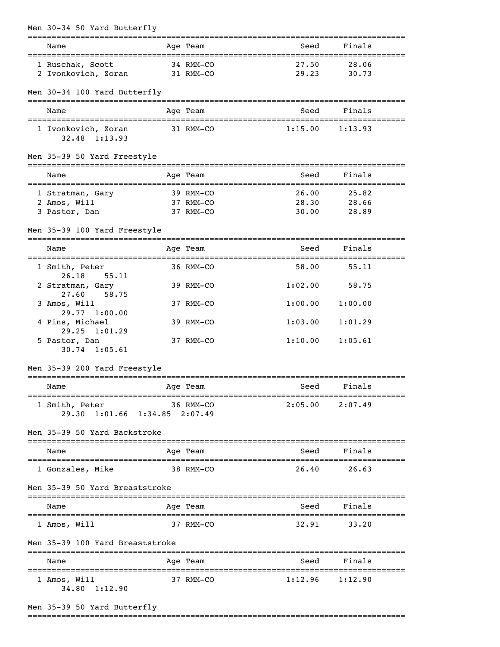| Men 30-34 50 Yard Butterfly                     |              |                        | -----------------------------------        |                            |  |
|-------------------------------------------------|--------------|------------------------|--------------------------------------------|----------------------------|--|
| Name                                            |              | Age Team               | Seed                                       | Finals                     |  |
| 1 Ruschak, Scott                                |              | 34 RMM-CO              | 27.50                                      | 28.06                      |  |
| 2 Ivonkovich, Zoran                             |              | 31 RMM-CO              | 29.23                                      | 30.73                      |  |
| Men 30-34 100 Yard Butterfly                    |              |                        |                                            |                            |  |
| Name                                            |              | Age Team               | Seed                                       | Finals                     |  |
| 1 Ivonkovich, Zoran<br>32.48 1:13.93            |              | 31 RMM-CO              | 1:15.00                                    | 1:13.93                    |  |
| Men 35-39 50 Yard Freestyle                     |              |                        |                                            |                            |  |
| Name                                            |              | Age Team               | Seed                                       | Finals                     |  |
| 1 Stratman, Gary                                |              | 39 RMM-CO              | 26.00                                      | 25.82                      |  |
| 2 Amos, Will<br>3 Pastor, Dan                   |              | 37 RMM-CO<br>37 RMM-CO | 28.30<br>30.00                             | 28.66<br>28.89             |  |
| Men 35-39 100 Yard Freestyle                    |              |                        |                                            |                            |  |
| Name                                            |              | Age Team               | Seed                                       | ================<br>Finals |  |
| ==================<br>1 Smith, Peter            | ------------ | 36 RMM-CO              | =================================<br>58.00 | 55.11                      |  |
| 26.18<br>55.11<br>2 Stratman, Gary              |              | 39 RMM-CO              | 1:02.00                                    | 58.75                      |  |
| 27.60<br>58.75<br>3 Amos, Will                  |              | 37 RMM-CO              | 1:00.00                                    | 1:00.00                    |  |
| 29.77 1:00.00<br>4 Pins, Michael                |              | 39 RMM-CO              | 1:03.00                                    | 1:01.29                    |  |
| $29.25$ $1:01.29$<br>5 Pastor, Dan              |              | 37 RMM-CO              | 1:10.00                                    | 1:05.61                    |  |
| $30.74$ 1:05.61                                 |              |                        |                                            |                            |  |
| Men 35-39 200 Yard Freestyle                    |              |                        |                                            |                            |  |
| Name                                            |              | Age Team               | Seed                                       | Finals                     |  |
| 1 Smith, Peter<br>29.30 1:01.66 1:34.85 2:07.49 |              | 36 RMM-CO              | 2:05.00                                    | 2:07.49                    |  |
| Men 35-39 50 Yard Backstroke                    |              |                        |                                            |                            |  |
| Name                                            |              | Age Team               | Seed                                       | Finals                     |  |
| 1 Gonzales, Mike                                | 38 RMM-CO    |                        | 26.40                                      | 26.63                      |  |
| Men 35-39 50 Yard Breaststroke                  |              |                        |                                            |                            |  |
| Name                                            |              | Age Team               | Seed                                       | Finals                     |  |
| 1 Amos, Will                                    |              | 37 RMM-CO              | 32.91                                      | 33.20                      |  |
| Men 35-39 100 Yard Breaststroke                 |              |                        |                                            |                            |  |
| Name                                            |              | Age Team               |                                            | Seed Finals                |  |
| 1 Amos, Will<br>34.80 1:12.90                   |              | 37 RMM-CO              |                                            | $1:12.96$ $1:12.90$        |  |
|                                                 |              |                        |                                            |                            |  |

Men 35-39 50 Yard Butterfly

===============================================================================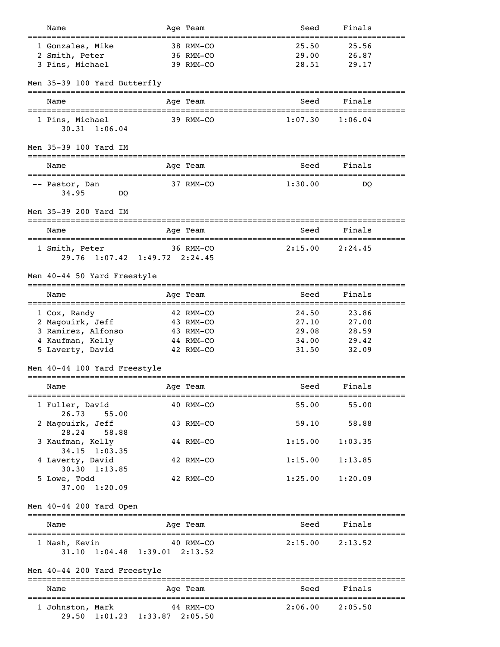| Name                                   |             | Age Team  | Seed    | Finals              |  |
|----------------------------------------|-------------|-----------|---------|---------------------|--|
| 1 Gonzales, Mike                       |             | 38 RMM-CO | 25.50   | 25.56               |  |
| 2 Smith, Peter                         |             | 36 RMM-CO | 29.00   | 26.87               |  |
| 3 Pins, Michael                        |             | 39 RMM-CO | 28.51   | 29.17               |  |
|                                        |             |           |         |                     |  |
| Men 35-39 100 Yard Butterfly           |             |           |         |                     |  |
| Name                                   |             | Age Team  | Seed    | Finals              |  |
|                                        |             |           |         |                     |  |
| 1 Pins, Michael                        |             | 39 RMM-CO | 1:07.30 | 1:06.04             |  |
| $30.31 \quad 1:06.04$                  |             |           |         |                     |  |
| Men 35-39 100 Yard IM                  |             |           |         |                     |  |
|                                        |             |           |         |                     |  |
| Name                                   |             | Age Team  | Seed    | Finals              |  |
| ====================================== |             |           |         |                     |  |
| -- Pastor, Dan                         |             | 37 RMM-CO | 1:30.00 | DO                  |  |
| 34.95<br>DO.                           |             |           |         |                     |  |
| Men 35-39 200 Yard IM                  |             |           |         |                     |  |
|                                        |             |           |         |                     |  |
| Name                                   |             | Age Team  | Seed    | Finals              |  |
|                                        |             |           |         |                     |  |
| 1 Smith, Peter                         |             | 36 RMM-CO | 2:15.00 | 2:24.45             |  |
| 29.76 1:07.42 1:49.72 2:24.45          |             |           |         |                     |  |
| Men 40-44 50 Yard Freestyle            |             |           |         |                     |  |
|                                        |             |           |         |                     |  |
| Name                                   |             | Age Team  | Seed    | Finals              |  |
|                                        |             |           |         |                     |  |
| 1 Cox, Randy                           |             | 42 RMM-CO | 24.50   | 23.86               |  |
| 2 Magouirk, Jeff                       |             | 43 RMM-CO | 27.10   | 27.00               |  |
| 3 Ramirez, Alfonso                     |             | 43 RMM-CO | 29.08   | 28.59               |  |
| 4 Kaufman, Kelly                       |             | 44 RMM-CO | 34.00   | 29.42               |  |
| 5 Laverty, David                       |             | 42 RMM-CO | 31.50   | 32.09               |  |
| Men 40-44 100 Yard Freestyle           |             |           |         |                     |  |
|                                        |             |           |         |                     |  |
| Name                                   |             | Age Team  | Seed    | Finals              |  |
|                                        |             |           |         |                     |  |
| 1 Fuller, David<br>55.00<br>26.73      |             | 40 RMM-CO | 55.00   | 55.00               |  |
| 2 Magouirk, Jeff                       |             | 43 RMM-CO |         | 59.10 58.88         |  |
| 28.24<br>58.88                         |             |           |         |                     |  |
| 3 Kaufman, Kelly                       |             | 44 RMM-CO | 1:15.00 | 1:03.35             |  |
| $34.15$ 1:03.35                        |             |           |         |                     |  |
| 4 Laverty, David                       |             | 42 RMM-CO | 1:15.00 | 1:13.85             |  |
| $30.30 \quad 1:13.85$                  |             |           |         |                     |  |
| 5 Lowe, Todd<br>37.00 1:20.09          |             | 42 RMM-CO | 1:25.00 | 1:20.09             |  |
|                                        |             |           |         |                     |  |
| Men 40-44 200 Yard Open                |             |           |         |                     |  |
|                                        |             |           |         |                     |  |
| Name                                   |             | Age Team  | Seed    | Finals              |  |
|                                        |             |           |         |                     |  |
| 1 Nash, Kevin                          |             | 40 RMM-CO |         | $2:15.00$ $2:13.52$ |  |
| 31.10 1:04.48 1:39.01 2:13.52          |             |           |         |                     |  |
| Men 40-44 200 Yard Freestyle           |             |           |         |                     |  |
|                                        |             |           |         | =============       |  |
| Name                                   |             | Age Team  | Seed    | Finals              |  |
|                                        |             |           |         |                     |  |
| 1 Johnston, Mark                       | $44$ RMM-CO |           | 2:06.00 | 2:05.50             |  |
| 29.50 1:01.23 1:33.87 2:05.50          |             |           |         |                     |  |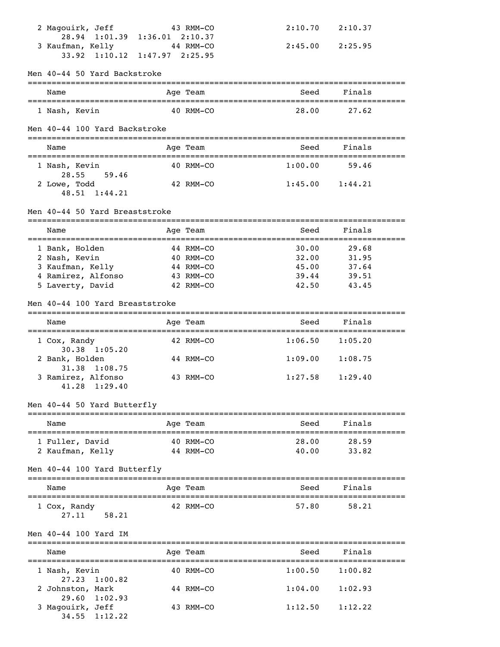| 2 Magouirk, Jeff                               | 43 RMM-CO | 2:10.70 | 2:10.37    |  |
|------------------------------------------------|-----------|---------|------------|--|
| 28.94 1:01.39 1:36.01 2:10.37                  |           |         |            |  |
| 3 Kaufman, Kelly 44 RMM-CO                     |           | 2:45.00 | 2:25.95    |  |
| 33.92 1:10.12 1:47.97 2:25.95                  |           |         |            |  |
|                                                |           |         |            |  |
| Men 40-44 50 Yard Backstroke                   |           |         |            |  |
|                                                |           |         |            |  |
| Name                                           | Age Team  | Seed    | Finals     |  |
|                                                |           |         |            |  |
| 1 Nash, Kevin                                  | 40 RMM-CO | 28.00   | 27.62      |  |
|                                                |           |         |            |  |
| Men 40-44 100 Yard Backstroke                  |           |         |            |  |
|                                                |           |         |            |  |
| Name                                           | Age Team  | Seed    | Finals     |  |
|                                                |           |         |            |  |
| 1 Nash, Kevin                                  | 40 RMM-CO | 1:00.00 | 59.46      |  |
| 28.55<br>59.46                                 |           |         |            |  |
| 2 Lowe, Todd                                   | 42 RMM-CO | 1:45.00 | 1:44.21    |  |
| 48.51 1:44.21                                  |           |         |            |  |
|                                                |           |         |            |  |
| Men 40-44 50 Yard Breaststroke                 |           |         |            |  |
|                                                |           |         |            |  |
| Name                                           | Age Team  | Seed    | Finals     |  |
|                                                |           |         |            |  |
| 1 Bank, Holden                                 | 44 RMM-CO | 30.00   | 29.68      |  |
| 2 Nash, Kevin                                  | 40 RMM-CO | 32.00   | 31.95      |  |
| 3 Kaufman, Kelly                               | 44 RMM-CO | 45.00   | 37.64      |  |
| 4 Ramirez, Alfonso                             | 43 RMM-CO | 39.44   | 39.51      |  |
| 5 Laverty, David                               | 42 RMM-CO | 42.50   | 43.45      |  |
|                                                |           |         |            |  |
| Men 40-44 100 Yard Breaststroke                |           |         |            |  |
|                                                |           |         |            |  |
| Name<br>====================================== | Age Team  | Seed    | Finals     |  |
|                                                | 42 RMM-CO | 1:06.50 | 1:05.20    |  |
| 1 Cox, Randy<br>$30.38$ 1:05.20                |           |         |            |  |
|                                                | 44 RMM-CO | 1:09.00 |            |  |
| 2 Bank, Holden<br>31.38 1:08.75                |           |         | 1:08.75    |  |
|                                                |           |         |            |  |
|                                                |           |         |            |  |
| 3 Ramirez, Alfonso                             | 43 RMM-CO | 1:27.58 | 1:29.40    |  |
| $41.28 \quad 1:29.40$                          |           |         |            |  |
|                                                |           |         |            |  |
| Men 40-44 50 Yard Butterfly                    |           |         |            |  |
|                                                |           |         |            |  |
| Name                                           | Age Team  | Seed    | Finals     |  |
|                                                |           |         |            |  |
| 1 Fuller, David                                | 40 RMM-CO | 28.00   | 28.59      |  |
| 2 Kaufman, Kelly                               | 44 RMM-CO | 40.00   | 33.82      |  |
|                                                |           |         |            |  |
| Men 40-44 100 Yard Butterfly                   |           |         |            |  |
|                                                |           |         |            |  |
| Name                                           | Age Team  | Seed    | Finals     |  |
|                                                |           |         |            |  |
| 1 Cox, Randy                                   | 42 RMM-CO | 57.80   | 58.21      |  |
| 27.11<br>58.21                                 |           |         |            |  |
| Men 40-44 100 Yard IM                          |           |         |            |  |
|                                                |           |         |            |  |
| Name                                           | Age Team  | Seed    | Finals     |  |
|                                                |           |         | ========== |  |
| 1 Nash, Kevin                                  | 40 RMM-CO | 1:00.50 | 1:00.82    |  |
| 27.23<br>1:00.82                               |           |         |            |  |
| 2 Johnston, Mark                               | 44 RMM-CO | 1:04.00 | 1:02.93    |  |
| 29.60<br>1:02.93                               |           |         |            |  |
| 3 Magouirk, Jeff                               | 43 RMM-CO | 1:12.50 | 1:12.22    |  |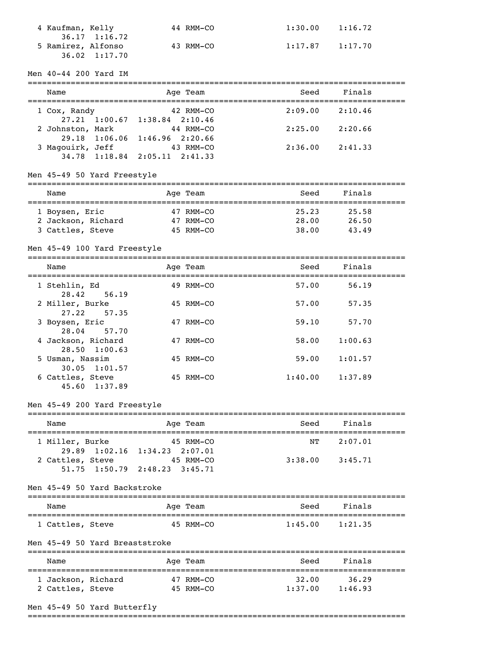| 4 Kaufman, Kelly      | 44 RMM-CO | 1:30.00 | 1:16.72 |
|-----------------------|-----------|---------|---------|
| $36.17 \quad 1:16.72$ |           |         |         |
| 5 Ramirez, Alfonso    | 43 RMM-CO | 1:17.87 | 1:17.70 |
| $36.02 \quad 1:17.70$ |           |         |         |

#### Men 40-44 200 Yard IM

| Name             | Age Team                              | Seed    | Finals  |
|------------------|---------------------------------------|---------|---------|
| 1 Cox, Randy     | 42 RMM-CO                             | 2:09.00 | 2:10.46 |
|                  | $27.21$ $1:00.67$ $1:38.84$ $2:10.46$ |         |         |
| 2 Johnston, Mark | 44 RMM-CO                             | 2:25.00 | 2:20.66 |
|                  | 29.18 1:06.06 1:46.96 2:20.66         |         |         |
| 3 Magouirk, Jeff | 43 RMM-CO                             | 2:36.00 | 2:41.33 |
|                  | $34.78$ 1:18.84 2:05.11 2:41.33       |         |         |
|                  |                                       |         |         |

# Men 45-49 50 Yard Freestyle

| Name               | Age Team  | Seed  | Finals |
|--------------------|-----------|-------|--------|
|                    |           |       |        |
| 1 Boysen, Eric     | 47 RMM-CO | 25.23 | 25.58  |
| 2 Jackson, Richard | 47 RMM-CO | 28.00 | 26.50  |
| 3 Cattles, Steve   | 45 RMM-CO | 38.00 | 43.49  |

# Men 45-49 100 Yard Freestyle

| Name                                        | Age Team  | Seed    | Finals  |
|---------------------------------------------|-----------|---------|---------|
| 1 Stehlin, Ed<br>28.42 56.19                | 49 RMM-CO | 57.00   | 56.19   |
| 2 Miller, Burke<br>27.22 57.35              | 45 RMM-CO | 57.00   | 57.35   |
| 3 Boysen, Eric<br>28.04 57.70               | 47 RMM-CO | 59.10   | 57.70   |
| 4 Jackson, Richard<br>$28.50 \quad 1:00.63$ | 47 RMM-CO | 58.00   | 1:00.63 |
| 5 Usman, Nassim                             | 45 RMM-CO | 59.00   | 1:01.57 |
| $30.05$ 1:01.57<br>6 Cattles, Steve         | 45 RMM-CO | 1:40.00 | 1:37.89 |

#### Men 45-49 200 Yard Freestyle

45.60 1:37.89

# ===============================================================================

| Name             | Age Team                              | Seed    | Finals  |  |
|------------------|---------------------------------------|---------|---------|--|
| 1 Miller, Burke  | 45 RMM-CO                             | NT.     | 2:07.01 |  |
|                  | 29.89 1:02.16 1:34.23 2:07.01         |         |         |  |
| 2 Cattles, Steve | 45 RMM-CO                             | 3:38.00 | 3:45.71 |  |
|                  | $51.75$ $1:50.79$ $2:48.23$ $3:45.71$ |         |         |  |

Men 45-49 50 Yard Backstroke

| Name             | Age Team  | Seed    | Finals  |  |
|------------------|-----------|---------|---------|--|
| 1 Cattles, Steve | 45 RMM-CO | 1:45.00 | 1:21.35 |  |

#### Men 45-49 50 Yard Breaststroke

| Name               | Age Team  | Seed    | Finals  |  |
|--------------------|-----------|---------|---------|--|
| 1 Jackson, Richard | 47 RMM-CO | 32.00   | 36.29   |  |
| 2 Cattles, Steve   | 45 RMM-CO | 1:37.00 | 1:46.93 |  |

### Men 45-49 50 Yard Butterfly

===============================================================================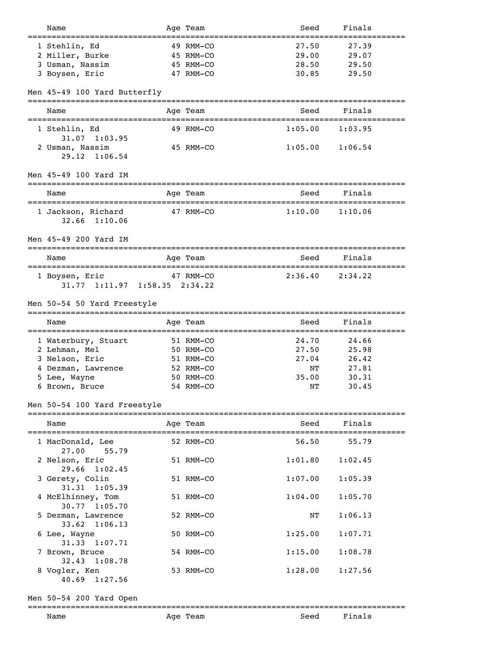| Name                                  |             | Age Team  | Seed                                     | Finals  |  |
|---------------------------------------|-------------|-----------|------------------------------------------|---------|--|
| 1 Stehlin, Ed                         |             | 49 RMM-CO | 27.50                                    | 27.39   |  |
|                                       |             | 45 RMM-CO | 29.00                                    | 29.07   |  |
| 2 Miller, Burke                       |             |           | 28.50                                    |         |  |
| 3 Usman, Nassim                       |             | 45 RMM-CO |                                          | 29.50   |  |
| 3 Boysen, Eric                        |             | 47 RMM-CO | 30.85                                    | 29.50   |  |
| Men 45-49 100 Yard Butterfly          |             |           |                                          |         |  |
| Name                                  |             | Age Team  | Seed                                     | Finals  |  |
| 1 Stehlin, Ed                         |             | 49 RMM-CO | 1:05.00                                  | 1:03.95 |  |
| $31.07$ $1:03.95$                     |             |           |                                          |         |  |
| 2 Usman, Nassim                       |             | 45 RMM-CO | 1:05.00                                  | 1:06.54 |  |
| 29.12<br>1:06.54                      |             |           |                                          |         |  |
|                                       |             |           |                                          |         |  |
| Men 45-49 100 Yard IM                 |             |           | -------------------                      |         |  |
| Name                                  | =========== | Age Team  | Seed<br>================================ | Finals  |  |
| 1 Jackson, Richard                    |             | 47 RMM-CO | 1:10.00                                  | 1:10.06 |  |
| 32.66<br>1:10.06                      |             |           |                                          |         |  |
|                                       |             |           |                                          |         |  |
| Men 45-49 200 Yard IM                 |             |           |                                          |         |  |
| Name                                  |             | Age Team  | Seed                                     | Finals  |  |
|                                       |             |           |                                          |         |  |
| 1 Boysen, Eric                        |             | 47 RMM-CO | 2:36.40                                  | 2:34.22 |  |
| 31.77 1:11.97 1:58.35 2:34.22         |             |           |                                          |         |  |
|                                       |             |           |                                          |         |  |
| Men 50-54 50 Yard Freestyle           |             |           |                                          |         |  |
| Name                                  |             | Age Team  | Seed                                     | Finals  |  |
| ========================              | =========   |           | -===============================         |         |  |
| 1 Waterbury, Stuart                   |             | 51 RMM-CO | 24.70                                    | 24.66   |  |
| 2 Lehman, Mel                         |             | 50 RMM-CO | 27.50                                    | 25.98   |  |
| 3 Nelson, Eric                        |             | 51 RMM-CO | 27.04                                    | 26.42   |  |
| 4 Dezman, Lawrence                    |             | 52 RMM-CO | NΤ                                       | 27.81   |  |
| 5 Lee, Wayne                          |             | 50 RMM-CO | 35.00                                    | 30.31   |  |
| 6 Brown, Bruce                        |             | 54 RMM-CO | NΤ                                       | 30.45   |  |
| Men 50-54 100 Yard Freestyle          |             |           |                                          |         |  |
|                                       |             |           |                                          |         |  |
| Name                                  |             | Age Team  | Seed                                     | Finals  |  |
| .====================                 |             |           |                                          |         |  |
| 1 MacDonald, Lee                      |             | 52 RMM-CO | 56.50                                    | 55.79   |  |
| 27.00<br>55.79<br>2 Nelson, Eric      |             | 51 RMM-CO | 1:01.80                                  | 1:02.45 |  |
| 29.66 1:02.45                         |             | 51 RMM-CO | 1:07.00                                  |         |  |
| 3 Gerety, Colin<br>31.31 1:05.39      |             |           |                                          | 1:05.39 |  |
| 4 McElhinney, Tom<br>$30.77$ 1:05.70  |             | 51 RMM-CO | 1:04.00                                  | 1:05.70 |  |
| 5 Dezman, Lawrence                    |             | 52 RMM-CO | ΝT                                       | 1:06.13 |  |
| $33.62 \quad 1:06.13$<br>6 Lee, Wayne |             | 50 RMM-CO | 1:25.00                                  | 1:07.71 |  |
| 1:07.71<br>31.33<br>7 Brown, Bruce    |             | 54 RMM-CO | 1:15.00                                  | 1:08.78 |  |
| 1:08.78<br>32.43<br>8 Vogler, Ken     |             | 53 RMM-CO | 1:28.00                                  | 1:27.56 |  |

Men 50-54 200 Yard Open

# ===============================================================================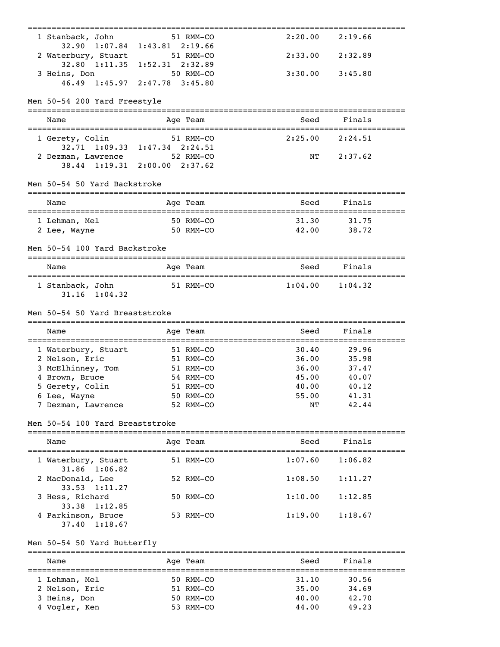| 1 Stanback, John<br>$32.90 \quad 1:07.84$            | $1:43.81$ $2:19.66$ | 51 RMM-CO | 2:20.00                                  | 2:19.66 |  |
|------------------------------------------------------|---------------------|-----------|------------------------------------------|---------|--|
| 2 Waterbury, Stuart<br>32.80 1:11.35 1:52.31 2:32.89 |                     | 51 RMM-CO | 2:33.00                                  | 2:32.89 |  |
| 3 Heins, Don                                         |                     | 50 RMM-CO | 3:30.00                                  | 3:45.80 |  |
| 46.49 1:45.97 2:47.78 3:45.80                        |                     |           |                                          |         |  |
| Men 50-54 200 Yard Freestyle                         |                     |           |                                          |         |  |
| Name                                                 |                     | Age Team  | Seed                                     | Finals  |  |
|                                                      |                     |           |                                          |         |  |
| 1 Gerety, Colin<br>32.71 1:09.33 1:47.34 2:24.51     |                     | 51 RMM-CO | 2:25.00                                  | 2:24.51 |  |
| 2 Dezman, Lawrence                                   |                     | 52 RMM-CO | NΤ                                       | 2:37.62 |  |
| 38.44 1:19.31                                        | $2:00.00$ $2:37.62$ |           |                                          |         |  |
|                                                      |                     |           |                                          |         |  |
| Men 50-54 50 Yard Backstroke                         |                     |           |                                          |         |  |
| Name<br>-----------------                            | ===========         | Age Team  | Seed                                     | Finals  |  |
| 1 Lehman, Mel                                        |                     | 50 RMM-CO | 31.30                                    | 31.75   |  |
| 2 Lee, Wayne                                         |                     | 50 RMM-CO | 42.00                                    | 38.72   |  |
|                                                      |                     |           |                                          |         |  |
| Men 50-54 100 Yard Backstroke                        |                     |           |                                          |         |  |
| Name                                                 |                     | Age Team  | Seed                                     | Finals  |  |
| 1 Stanback, John                                     |                     | 51 RMM-CO | 1:04.00                                  | 1:04.32 |  |
| $31.16$ $1:04.32$                                    |                     |           |                                          |         |  |
|                                                      |                     |           |                                          |         |  |
| Men 50-54 50 Yard Breaststroke                       |                     |           |                                          |         |  |
| Name                                                 |                     | Age Team  | Seed<br>================================ | Finals  |  |
| 1 Waterbury, Stuart                                  | 51 RMM-CO           |           | 30.40                                    | 29.96   |  |
| 2 Nelson, Eric                                       |                     | 51 RMM-CO | 36.00                                    | 35.98   |  |
| 3 McElhinney, Tom                                    |                     | 51 RMM-CO | 36.00                                    | 37.47   |  |
| 4 Brown, Bruce                                       |                     | 54 RMM-CO | 45.00                                    | 40.07   |  |
| 5 Gerety, Colin                                      |                     | 51 RMM-CO | 40.00                                    | 40.12   |  |
| 6 Lee, Wayne                                         |                     | 50 RMM-CO | 55.00                                    | 41.31   |  |
| 7 Dezman, Lawrence                                   |                     | 52 RMM-CO | NΤ                                       | 42.44   |  |
| Men 50-54 100 Yard Breaststroke                      |                     |           |                                          |         |  |
| Name                                                 |                     | Age Team  | Seed                                     | Finals  |  |
| 1 Waterbury, Stuart                                  |                     | 51 RMM-CO | 1:07.60                                  | 1:06.82 |  |
| 31.86 1:06.82                                        |                     |           |                                          |         |  |
| 2 MacDonald, Lee<br>$33.53$ $1:11.27$                |                     | 52 RMM-CO | 1:08.50                                  | 1:11.27 |  |
| 3 Hess, Richard                                      |                     | 50 RMM-CO | 1:10.00                                  | 1:12.85 |  |
| 33.38 1:12.85                                        |                     |           |                                          |         |  |
| 4 Parkinson, Bruce                                   |                     | 53 RMM-CO | 1:19.00                                  | 1:18.67 |  |
| $37.40 \quad 1:18.67$                                |                     |           |                                          |         |  |
| Men 50-54 50 Yard Butterfly                          |                     |           |                                          |         |  |
| Name                                                 |                     | Age Team  | Seed                                     | Finals  |  |
|                                                      |                     |           |                                          |         |  |

=============================================================================== 1 Lehman, Mel 50 RMM-CO 31.10 30.56 2 Nelson, Eric 51 RMM-CO 35.00 34.69 3 Heins, Don 50 RMM-CO 40.00 42.70 4 Vogler, Ken 53 RMM-CO 44.00 49.23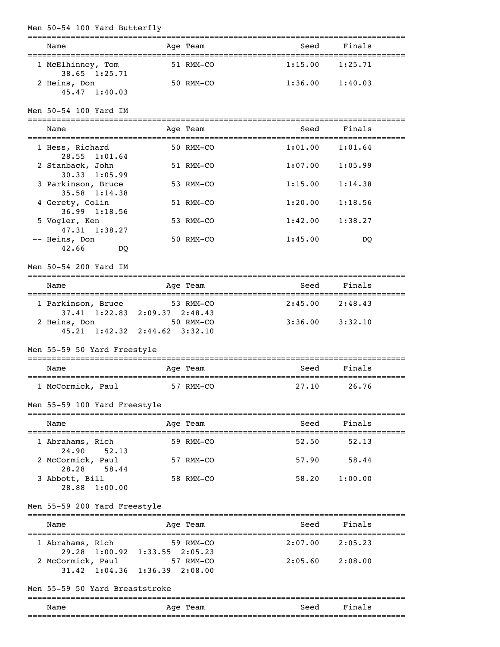| Men 50-54 100 Yard Butterfly                                                                       | ------------- |         |                     |  |
|----------------------------------------------------------------------------------------------------|---------------|---------|---------------------|--|
| Name                                                                                               | Age Team      | Seed    | Finals              |  |
| 1 McElhinney, Tom<br>38.65 1:25.71                                                                 | 51 RMM-CO     | 1:15.00 | 1:25.71             |  |
| 2 Heins, Don<br>$45.47$ $1:40.03$                                                                  | 50 RMM-CO     |         | $1:36.00$ $1:40.03$ |  |
| Men 50-54 100 Yard IM                                                                              |               |         |                     |  |
| Name                                                                                               | Age Team      | Seed    | Finals              |  |
| 1 Hess, Richard<br>28.55 1:01.64                                                                   | 50 RMM-CO     | 1:01.00 | 1:01.64             |  |
| 2 Stanback, John<br>$30.33$ 1:05.99                                                                | 51 RMM-CO     | 1:07.00 | 1:05.99             |  |
| 3 Parkinson, Bruce<br>$35.58$ $1:14.38$                                                            | 53 RMM-CO     | 1:15.00 | 1:14.38             |  |
| 4 Gerety, Colin<br>$36.99$ 1:18.56                                                                 | 51 RMM-CO     | 1:20.00 | 1:18.56             |  |
| 5 Vogler, Ken<br>47.31 1:38.27                                                                     | 53 RMM-CO     | 1:42.00 | 1:38.27             |  |
| -- Heins, Don<br>42.66<br>DO.                                                                      | 50 RMM-CO     | 1:45.00 | DQ                  |  |
| Men 50-54 200 Yard IM                                                                              |               |         |                     |  |
| Name                                                                                               | Age Team      | Seed    | Finals              |  |
| 1 Parkinson, Bruce                                                                                 | 53 RMM-CO     |         | $2:45.00$ $2:48.43$ |  |
| 37.41 1:22.83 2:09.37 2:48.43<br>2 Heins, Don<br>$45.21 \quad 1:42.32 \quad 2:44.62 \quad 3:32.10$ | 50 RMM-CO     |         | $3:36.00$ $3:32.10$ |  |
| Men 55-59 50 Yard Freestyle                                                                        |               |         |                     |  |
| Name                                                                                               | Age Team      | Seed    | Finals              |  |
| 1 McCormick, Paul                                                                                  | 57 RMM-CO     | 27.10   | 26.76               |  |
| Men 55-59 100 Yard Freestyle                                                                       |               |         |                     |  |
| Name                                                                                               | Age Team      | Seed    | Finals              |  |
| 1 Abrahams, Rich                                                                                   | 59 RMM-CO     | 52.50   | 52.13               |  |
| 24.90<br>52.13<br>2 McCormick, Paul                                                                | 57 RMM-CO     |         | 57.90 58.44         |  |
| 58.44<br>28.28<br>3 Abbott, Bill<br>28.88 1:00.00                                                  | 58 RMM-CO     | 58.20   | 1:00.00             |  |
| Men 55-59 200 Yard Freestyle                                                                       |               |         |                     |  |
| Name                                                                                               | Age Team      | Seed    | Finals              |  |
| 1 Abrahams, Rich                                                                                   | 59 RMM-CO     | 2:07.00 | 2:05.23             |  |
| 29.28 1:00.92 1:33.55 2:05.23<br>2 McCormick, Paul<br>31.42 1:04.36 1:36.39 2:08.00                | 57 RMM-CO     |         | $2:05.60$ $2:08.00$ |  |
| Men 55-59 50 Yard Breaststroke                                                                     |               |         |                     |  |
| Name                                                                                               | Age Team      | Seed    | Finals              |  |
|                                                                                                    |               |         |                     |  |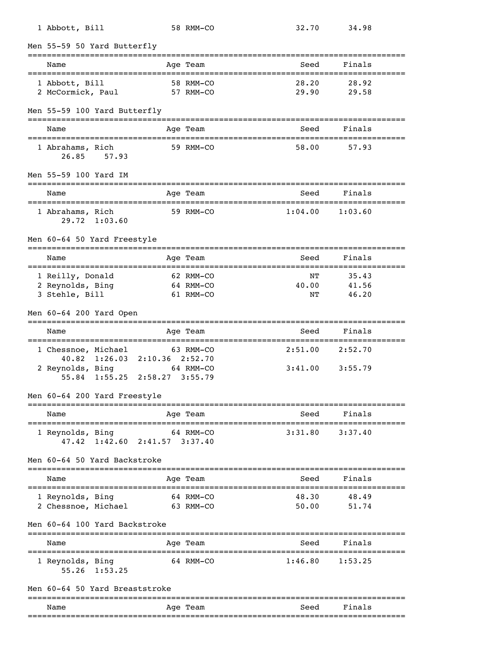| 1 Abbott, Bill                                                       |                                                      | 58 RMM-CO                           | 32.70                        | 34.98                         |            |
|----------------------------------------------------------------------|------------------------------------------------------|-------------------------------------|------------------------------|-------------------------------|------------|
| Men 55-59 50 Yard Butterfly                                          |                                                      |                                     |                              |                               |            |
| Name                                                                 |                                                      | Age Team                            | Seed                         | Finals                        |            |
| 1 Abbott, Bill<br>2 McCormick, Paul                                  |                                                      | 58 RMM-CO<br>57 RMM-CO              | 28.20<br>29.90               | 28.92<br>29.58                |            |
| Men 55-59 100 Yard Butterfly                                         |                                                      |                                     |                              |                               |            |
| Name                                                                 |                                                      | Age Team                            | Seed                         | Finals                        | ---------- |
| 1 Abrahams, Rich<br>26.85<br>57.93                                   |                                                      | 59 RMM-CO                           | 58.00                        | 57.93                         |            |
| Men 55-59 100 Yard IM                                                |                                                      |                                     |                              |                               |            |
| Name                                                                 |                                                      | Age Team                            | Seed                         | Finals<br>=================== |            |
| 1 Abrahams, Rich<br>1:03.60<br>29.72                                 |                                                      | 59 RMM-CO                           | 1:04.00                      | 1:03.60                       |            |
| Men 60-64 50 Yard Freestyle                                          |                                                      |                                     |                              |                               |            |
| Name                                                                 |                                                      | Age Team                            | Seed                         | Finals                        |            |
| 1 Reilly, Donald<br>2 Reynolds, Bing<br>3 Stehle, Bill               |                                                      | 62 RMM-CO<br>64 RMM-CO<br>61 RMM-CO | NΤ<br>40.00<br>NΤ            | 35.43<br>41.56<br>46.20       |            |
| Men 60-64 200 Yard Open                                              |                                                      |                                     |                              |                               |            |
| Name                                                                 |                                                      | Age Team                            | ====================<br>Seed | Finals                        |            |
| 1 Chessnoe, Michael<br>40.82<br>1:26.03<br>2 Reynolds, Bing<br>55.84 | $2:10.36$ $2:52.70$<br>$1:55.25$ $2:58.27$ $3:55.79$ | 63 RMM-CO<br>64 RMM-CO              | 2:51.00<br>3:41.00           | 2:52.70<br>3:55.79            |            |
| Men 60-64 200 Yard Freestyle                                         |                                                      |                                     |                              |                               |            |
| Name                                                                 |                                                      | Age Team                            | Seed                         | Finals                        |            |
| 1 Reynolds, Bing<br>47.42 1:42.60 2:41.57 3:37.40                    |                                                      | 64 RMM-CO                           | 3:31.80                      | 3:37.40                       |            |
| Men 60-64 50 Yard Backstroke                                         |                                                      |                                     |                              |                               |            |
| Name                                                                 |                                                      | Age Team                            | Seed                         | Finals                        |            |
| 1 Reynolds, Bing<br>2 Chessnoe, Michael                              | 63 RMM-CO                                            | 64 RMM-CO                           | 48.30<br>50.00               | 48.49<br>51.74                |            |
| Men 60-64 100 Yard Backstroke                                        |                                                      |                                     |                              | -----------------             |            |
| Name                                                                 |                                                      | Age Team                            | Seed                         | Finals                        |            |
| 1 Reynolds, Bing<br>55.26 1:53.25                                    |                                                      | 64 RMM-CO                           | 1:46.80                      | 1:53.25                       |            |
| Men 60-64 50 Yard Breaststroke                                       |                                                      |                                     |                              |                               |            |
| Name                                                                 |                                                      | Age Team                            | Seed                         | Finals                        |            |
|                                                                      |                                                      |                                     |                              |                               |            |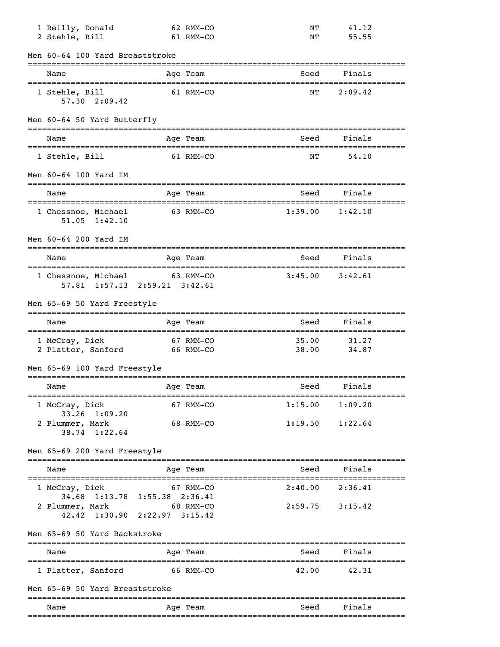| 1 Reilly, Donald<br>2 Stehle, Bill                                                |                     | 62 RMM-CO                                                                                                                                  | NΤ<br>NΤ                                                                                                                                                                             | 41.12<br>55.55      |                      |
|-----------------------------------------------------------------------------------|---------------------|--------------------------------------------------------------------------------------------------------------------------------------------|--------------------------------------------------------------------------------------------------------------------------------------------------------------------------------------|---------------------|----------------------|
|                                                                                   |                     |                                                                                                                                            |                                                                                                                                                                                      |                     |                      |
| Name                                                                              |                     |                                                                                                                                            | Seed                                                                                                                                                                                 | Finals              |                      |
| 1 Stehle, Bill<br>$57.30 \quad 2:09.42$                                           |                     |                                                                                                                                            | NΤ                                                                                                                                                                                   | 2:09.42             |                      |
|                                                                                   |                     |                                                                                                                                            |                                                                                                                                                                                      |                     |                      |
| Name                                                                              |                     |                                                                                                                                            | Seed                                                                                                                                                                                 | Finals              |                      |
| 1 Stehle, Bill                                                                    |                     |                                                                                                                                            | ΝT                                                                                                                                                                                   | 54.10               |                      |
| Men 60-64 100 Yard IM                                                             |                     |                                                                                                                                            |                                                                                                                                                                                      | ----------------    |                      |
| Name                                                                              |                     |                                                                                                                                            | Seed                                                                                                                                                                                 | Finals              |                      |
| 1 Chessnoe, Michael<br>$51.05 \quad 1:42.10$                                      |                     |                                                                                                                                            | 1:39.00                                                                                                                                                                              | 1:42.10             |                      |
| Men 60-64 200 Yard IM                                                             |                     |                                                                                                                                            |                                                                                                                                                                                      |                     |                      |
| Name                                                                              |                     |                                                                                                                                            | Seed                                                                                                                                                                                 | Finals              |                      |
|                                                                                   |                     |                                                                                                                                            | 3:45.00                                                                                                                                                                              | 3:42.61             |                      |
|                                                                                   |                     |                                                                                                                                            |                                                                                                                                                                                      |                     |                      |
| Name                                                                              |                     |                                                                                                                                            | Seed                                                                                                                                                                                 | Finals              |                      |
| 1 McCray, Dick                                                                    |                     |                                                                                                                                            | 35.00<br>38.00                                                                                                                                                                       | 31.27<br>34.87      |                      |
|                                                                                   |                     |                                                                                                                                            |                                                                                                                                                                                      |                     |                      |
| Men 65-69 100 Yard Freestyle                                                      |                     |                                                                                                                                            |                                                                                                                                                                                      |                     |                      |
| Name                                                                              |                     | Age Team                                                                                                                                   | Seed<br>==================================                                                                                                                                           | Finals              |                      |
| 1 McCray, Dick                                                                    |                     | 67 RMM-CO                                                                                                                                  |                                                                                                                                                                                      | $1:15.00$ $1:09.20$ |                      |
| 33.26 1:09.20<br>2 Plummer, Mark<br>38.74 1:22.64                                 |                     | 68 RMM-CO                                                                                                                                  |                                                                                                                                                                                      | $1:19.50$ $1:22.64$ |                      |
| Men 65-69 200 Yard Freestyle<br>______________________________________            |                     |                                                                                                                                            | ------------------------------------                                                                                                                                                 |                     |                      |
| Name                                                                              |                     | Age Team                                                                                                                                   | Seed                                                                                                                                                                                 | Finals              |                      |
| 1 McCray, Dick                                                                    |                     | 67 RMM-CO                                                                                                                                  | 2:40.00                                                                                                                                                                              | 2:36.41             |                      |
| 34.68 1:13.78 1:55.38 2:36.41<br>2 Plummer, Mark<br>42.42 1:30.90 2:22.97 3:15.42 | 68 RMM-CO           |                                                                                                                                            |                                                                                                                                                                                      | $2:59.75$ $3:15.42$ |                      |
| Men 65-69 50 Yard Backstroke                                                      |                     |                                                                                                                                            |                                                                                                                                                                                      |                     |                      |
| Name                                                                              |                     | Age Team                                                                                                                                   | Seed                                                                                                                                                                                 | Finals              |                      |
| 1 Platter, Sanford                                                                | 66 RMM-CO           |                                                                                                                                            | 42.00                                                                                                                                                                                | 42.31               |                      |
| Men 65-69 50 Yard Breaststroke                                                    |                     |                                                                                                                                            |                                                                                                                                                                                      |                     |                      |
|                                                                                   | ___________________ | Men 60-64 100 Yard Breaststroke<br>Men 60-64 50 Yard Butterfly<br>1 Chessnoe, Michael<br>Men 65-69 50 Yard Freestyle<br>2 Platter, Sanford | 61 RMM-CO<br>Age Team<br>61 RMM-CO<br>Age Team<br>61 RMM-CO<br>Age Team<br>63 RMM-CO<br>Age Team<br>63 RMM-CO<br>57.81 1:57.13 2:59.21 3:42.61<br>Age Team<br>67 RMM-CO<br>66 RMM-CO |                     | ==================== |